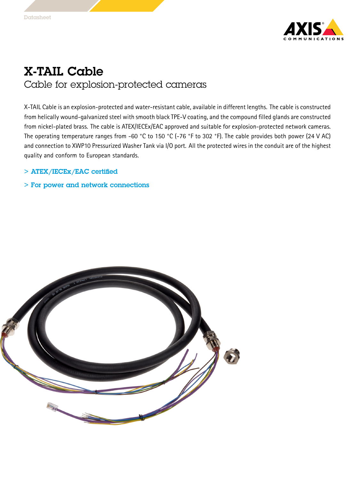

## X-TAIL Cable Cable for explosion-protected cameras

X-TAIL Cable is an explosion-protected and water-resistant cable, available in different lengths. The cable is constructed from helically wound-galvanized steel with smooth black TPE-V coating, and the compound filled glands are constructed from nickel-plated brass. The cable is ATEX/IECEx/EAC approved and suitable for explosion-protected network cameras. The operating temperature ranges from -60 °C to <sup>150</sup> °C (-76 °F to <sup>302</sup> °F). The cable provides both power (24 V AC) and connection to XWP10 Pressurized Washer Tank via I/O port. All the protected wires in the conduit are of the highest quality and conform to European standards.

## > ATEX/IECEx/EAC certified

> For power and network connections